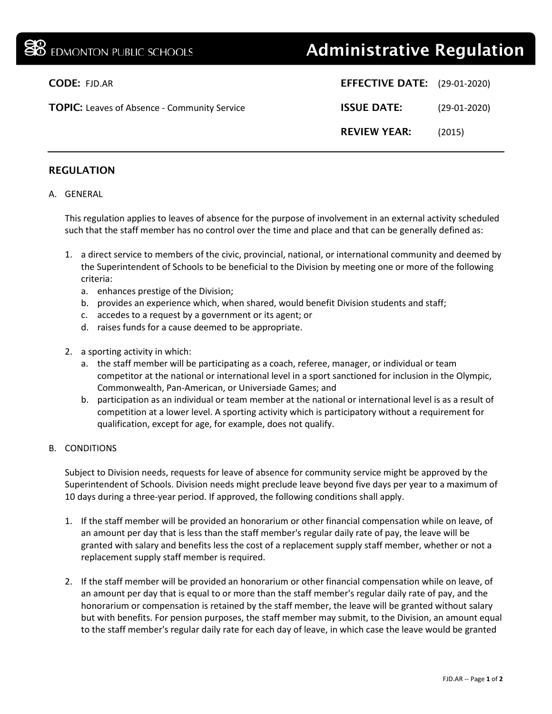# **BE EDMONTON PUBLIC SCHOOLS Administrative Regulation**

| <b>CODE: FJD.AR</b>                                 | <b>EFFECTIVE DATE:</b> (29-01-2020) |                |
|-----------------------------------------------------|-------------------------------------|----------------|
| <b>TOPIC:</b> Leaves of Absence - Community Service | <b>ISSUE DATE:</b>                  | $(29-01-2020)$ |
|                                                     | <b>REVIEW YEAR:</b>                 | (2015)         |

## REGULATION

### A. GENERAL

This regulation applies to leaves of absence for the purpose of involvement in an external activity scheduled such that the staff member has no control over the time and place and that can be generally defined as:

- 1. a direct service to members of the civic, provincial, national, or international community and deemed by the Superintendent of Schools to be beneficial to the Division by meeting one or more of the following criteria:
	- a. enhances prestige of the Division;
	- b. provides an experience which, when shared, would benefit Division students and staff;
	- c. accedes to a request by a government or its agent; or
	- d. raises funds for a cause deemed to be appropriate.
- 2. a sporting activity in which:
	- a. the staff member will be participating as a coach, referee, manager, or individual or team competitor at the national or international level in a sport sanctioned for inclusion in the Olympic, Commonwealth, Pan-American, or Universiade Games; and
	- b. participation as an individual or team member at the national or international level is as a result of competition at a lower level. A sporting activity which is participatory without a requirement for qualification, except for age, for example, does not qualify.

### B. CONDITIONS

Subject to Division needs, requests for leave of absence for community service might be approved by the Superintendent of Schools. Division needs might preclude leave beyond five days per year to a maximum of 10 days during a three-year period. If approved, the following conditions shall apply.

- 1. If the staff member will be provided an honorarium or other financial compensation while on leave, of an amount per day that is less than the staff member's regular daily rate of pay, the leave will be granted with salary and benefits less the cost of a replacement supply staff member, whether or not a replacement supply staff member is required.
- 2. If the staff member will be provided an honorarium or other financial compensation while on leave, of an amount per day that is equal to or more than the staff member's regular daily rate of pay, and the honorarium or compensation is retained by the staff member, the leave will be granted without salary but with benefits. For pension purposes, the staff member may submit, to the Division, an amount equal to the staff member's regular daily rate for each day of leave, in which case the leave would be granted